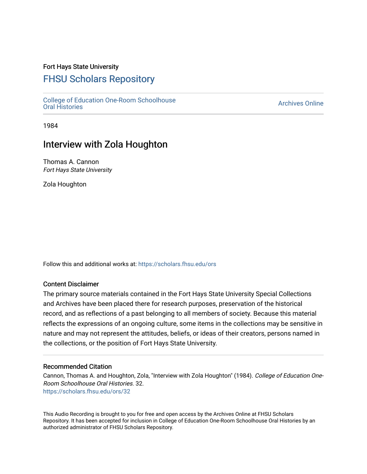### Fort Hays State University

# [FHSU Scholars Repository](https://scholars.fhsu.edu/)

[College of Education One-Room Schoolhouse](https://scholars.fhsu.edu/ors) [Oral Histories](https://scholars.fhsu.edu/ors) [Archives Online](https://scholars.fhsu.edu/archives) 

1984

## Interview with Zola Houghton

Thomas A. Cannon Fort Hays State University

Zola Houghton

Follow this and additional works at: [https://scholars.fhsu.edu/ors](https://scholars.fhsu.edu/ors?utm_source=scholars.fhsu.edu%2Fors%2F32&utm_medium=PDF&utm_campaign=PDFCoverPages) 

### Content Disclaimer

The primary source materials contained in the Fort Hays State University Special Collections and Archives have been placed there for research purposes, preservation of the historical record, and as reflections of a past belonging to all members of society. Because this material reflects the expressions of an ongoing culture, some items in the collections may be sensitive in nature and may not represent the attitudes, beliefs, or ideas of their creators, persons named in the collections, or the position of Fort Hays State University.

#### Recommended Citation

Cannon, Thomas A. and Houghton, Zola, "Interview with Zola Houghton" (1984). College of Education One-Room Schoolhouse Oral Histories. 32. [https://scholars.fhsu.edu/ors/32](https://scholars.fhsu.edu/ors/32?utm_source=scholars.fhsu.edu%2Fors%2F32&utm_medium=PDF&utm_campaign=PDFCoverPages)

This Audio Recording is brought to you for free and open access by the Archives Online at FHSU Scholars Repository. It has been accepted for inclusion in College of Education One-Room Schoolhouse Oral Histories by an authorized administrator of FHSU Scholars Repository.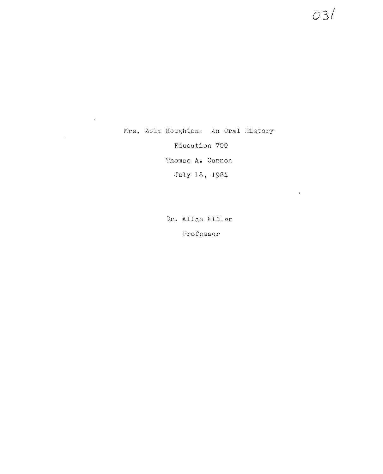Mrs. Zola Houghton: An Oral History Education 700 Thomas A. Cannon July 18, 1984

 $\hat{\mathbf{r}}^{\prime}$ 

Dr. Allan Miller Professor

03/

 $\bar{t}$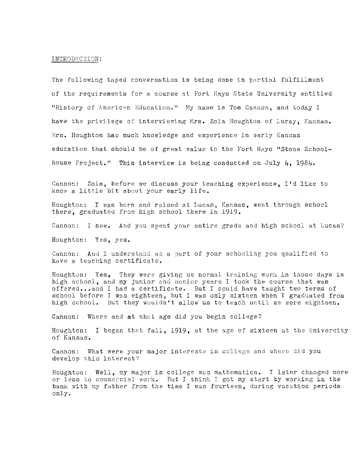#### INTROD1JC'l'ION:

The following taped conversation is being done in partial fulfillment of the requirements for a course at Fort Hays State University entitled "History of American Education." My name is Tom Cannon, and today I have the privilege of interviewing Mrs. Zola Houghton of Luray, Kansas. Mrs. Houghton has much knowledge and experience in early Kansas education that should be of great value to the Fort Hays "Stone Schoolhouse Project." This interview is being conducted on July 4, 1984,

Cannon: Zola, before we discuss your teaching experience, I'd like to know a little bit about your early life.

Houghton: I was born and raised at Lucas, Kansas, went through school there, graduated from high school there in 1919.

Cannon: I see, And you spent your entire grade and high school at Lucas?

Houghton: Yes, yes.

Cannon: And I understand as a part of your schooling you qualified to have a teaching certificate.

Houghton: Yes, They were giving us normal training worls in those days in high school, and my junior and senior years I took the course that was offered...and I had a certificate. But I could have taught two terms of school before I was eighteen, but I was only sixteen when I graduated from high school. But they wouldn't allow us to teach until we were eighteen.

Cannon: Where and at what age did you begin college?

Houghton: I began that fall, 1919, at the age of sixteen at the University of Kansas.

Cannon: What were your major interests in college and where did you develop this interest?

Houghton: Well, my major in college was mathematics. I later changed more or less to commercial work. But I think I got my start by working in the bank with my father from the time I was fourteen, during vacation periods only.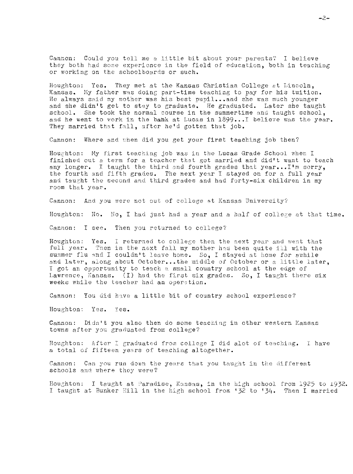Cannon: Could you toll me a little bit about your parents? I believe they both had some experience in the field of education, both in teaching or working on the schoolboards or such.

Houghton: Yes. They met at the Kansas Christian College at Lincoln, Kansas. My father was doing part-time teaching to pay for his tuition. He always said my mother was his best pupil... and she was much younger and she didn't get to stay to graduate, He graduated. Later she taught school. She took the normal course in the summertime and taught school, and he went to work in the bahk at Lucas in  $1899...$  Delieve was the year. They married that fall, after he'd gotten that job,

Cannon: Where and when did you get your first teaching job then?

Houghton: My first teaching job was in the Lucas Grade School when I finished out a term for a teacher that got married and did't want to teach any longer. I taught the third and fourth grades that year... I'm sorry, the fourth and fifth grades. The next year I stayed on for a full year and taught the second and third grades and had forty-six children in my room that year.

Cannon: And you were not out of college at Kansas University?

Houghton: No. No, I had just had a year and a half of college at that time.

Cannon: I see. Then you returned to college?

Houghton: Yes. I returned to college then the next year and went that full year. Tnen in the next fall my mother had been quite ill with the summer flu and I couldn't leave home. So, I stayed at home for awhile and later, along about October...the middle of October or a little later, I got an opportunity to teach a small country school at the edge of Lawrence, Kansas. (I) had the first six grades. *So,* I taught there six weeks while the teacher had an operation,

Cannon: You did have a little bit of country school experience?

Houghton: Yes. Yes.

Cannon: Didn't you also then do some teaching in other western Kansas towns after you graduated from college?

Houghton: After I graduated from college I did alot of teaching. I have a total of fifteen years of teaching altogether.

Cannon: Can you run down the years that you taught in the different schools and where they were?

Houghton: I taught at Paradise, Kansas, in the high school from 1925 to 1932. I taught at Bunker Hill in the high school from '32 to '34. Then I married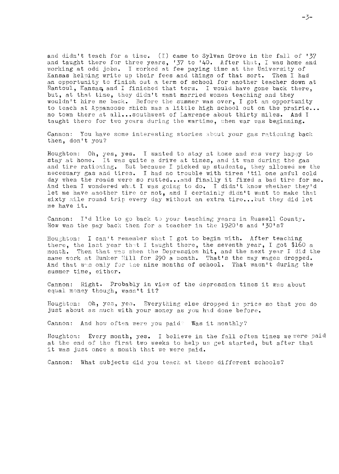and didn't teach for a time. (I) came to Sylvan Grove in the fall of *'37*  and taught there for three years, '37 to '40. After that, I was home and working at odd jobs. I worked at fee paying time at the University of Kansas helping write up their fees and things of that sort. Then I had an opportunity to finish out a term of school for another teacher down at Rantoul, Kansas and I finished that term. I would have gone back there, but, at that time, they didn't want married women teaching and they wouldn't hire me back. Before the summer was over, I got an opportunity to teach at Appanoose which was a little high school out on the prairie... no town there at all...southwest of Lawrence about thirty miles. And I taught there for two years during the wartime, when war was beginning.

Cannon: You have some interesting stories about your gas rationing back then, don't you?

Houghton: Oh, yes, yes. I wanted to stay at home and was very happy to stay at home. It was quite a drive at times, and it vas during the gas and tire rationing. Dut because I picked up students, they allowed me the necessary gas and tires. I had no trouble with tires 'til one awful cold day when the roads were so rutted...and finally it fixed a bad tire for me. And then I wondered what I was going to do. I didn't know whether they'd let me have another tire or not, and I certainly didn't want to make that sixty mile round trip every day without an extra tire...but they did let me have it.

Cannon: I'd like to go back to your teaching years in Russell County. How was the pay back then for a teacher in the 1920's and '30's?

Houghton: I can't remember what I got to begin with. After teaching there, the last year that I taught there, the seventh year, I got \$160 a month. Then that was when the Depression hit, and the next year I did the same work at Bunker Hill for \$90 a month. That's the way wages dropped. And that was only for the nine months of school. That wasn't during the summer time, either.

Cannon: Right. Probably in view of the depression times it was about equal money though, wasn't it?

Houghton: Oh, yes, yes. Everything else dropped in price so that you do just about as much with your money as you had done before.

Cannon: And how often were you paid? Was it monthly?

Houghton: Every month, yes. I believe in the fall often times we were paid at the end of the first two weeks to help ua get started, but after that it was just once a month that we were paid.

Cannon: What subjects did you teach at these different schools?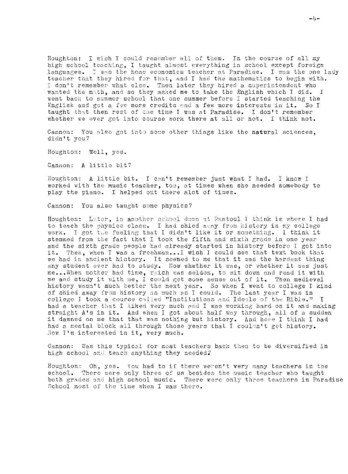Houghton: I wish I could remember all of them. In the course of all my high school teaching, I taught almost everything in school except foreign languages. I was the home economics teacher at Paradise. I was the one lady teacher that they hired for that, and I had the mathematics to begin with. I don't remember what else. Then later they hired a superintendent who wanted the math, and so they asked me to take the English which I did. I went back to summer school that one summer before I started teaching the English and got a few more credits and a few more interests in it. So I taught that then rest of the time I was at Paradise. I don't remember whether we ever got into course work there at all or not. I think not.

Cannon: You also got into some other things like the natural sciences, didn't you?

Houghton: Well, yes.

Cannon: A little bit?

Houghton: A little bit. I can't remember just what I had. I know I worked with the music teacher, too, at times when she needed somebody to play the piano. I helped out there alot of times.

Cannon: You also taught some physics?

Houghton: Later, in another school down at Rantoul I think is where I had to teach the physics class. I had shied away from history in my college work. I got the feeling that I didn't like it or something. I think it stemmed from the fact that I took the fifth and sixth grade in one year and the sixth grade people had already started in history before I got into it. Then, when I was a freshman...I wish I could see that text book that we had in ancient history. It seemed to me that it was the hardest thing any student ever had to study. Now whether it was, or whether it was just me... When mother had time, which was seldom, to sit down and read it with me and study it with me, I could get some sense out of it. Then medieval history wasn't much better the next year. So when I went to college I kind of shied away from history as much as I could. The last year I was in college I took a course called "Institutions and Ideals of the Bible." I had a teacher that I liked very much and I was working hard on it and making straight A's in it. And when I got about half way through, all of a sudden<br>it dawned on me that that was nothing but history. And here I think I had had a mental block all through those years that I couldn't get history. Now I'm interested in it, very much.

Cannon: Was this typical for most teachers back then to be diversified in high school and teach anything they needed?

Houghton: Oh, yes. You had to if there weren't very many teachers in the school. There were only three of us besides the music teacher who taught both grades and high school music. There were only three teachers in Paradise School most of the time when I was there.

 $-l_1-$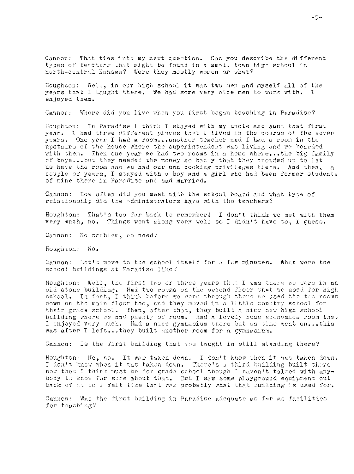Cannon: That ties into my next question. Can you describe the different types of teachers that might be found in a small town high school in north-central Kansas? Were they mostly women or what?

Houghton: Well, in our high school it was two men and myself all of the years that I taught there. We had some very nice men to work with. I enjoyed them.

Cannon: Where did you live when you first began teaching in Paradise?

Houghton: In Paradise I think I stayed with my uncle and aunt that first year. I had three different places that I lived in the course of the seven years. One year I had a room...another teacher and I had a room in the upstairs of the house where the superintendent was living and we boarded with them. Then one year we had two rooms in a home where...the big family of boys...but they needed the money so badly that they crowded up to let us have the room and we had our own cooking privileges there. And then,  $\mathbf{a}$ couple of years, I stayed with a boy and a girl who had been former students of mine there in Paradise and had married.

Cannon: How often did you meet with the school board and what type of relationship did the administrators have with the teachers?

Houghton: That's too far back to remember! I don't think we met with them very much, no. Things went along very well so I didn't have to, I guess.

Cannon: No problem, no need?

Houghton: No.

Cannon: Let't move to the school itself for a fow minutes. What were the school buildings at Paradise like?

Houghton: Well, the first two or three years that I was there we were in an old stone building. Had two rooms on the second floor that we used for high school. In fact, I think before we were through there we used the two rooms down on the main floor too, and they moved in a little country school for their grade school. Then, after that, they built a nice new high school building where we had plenty of room. Had a lovely home economics room that I enjoyed very much. Had a nice gymnasium there but as time went on...this was after I left...they built another room for a gymnasium.

Cannon: Is the first building that you taught in still standing there?

Houghton: No, no. It was taken down. I don't know when it was taken down. I don't know when it was taken down. There's a third building built there now that I think must be for grade school though I haven't talked with anybody to know for sure about that. But I saw some playground equipment out back of it so I felt like that wes probably what that building is used for.

Cannon: Was the first building in Paradise adequate as far as facilities for teaching?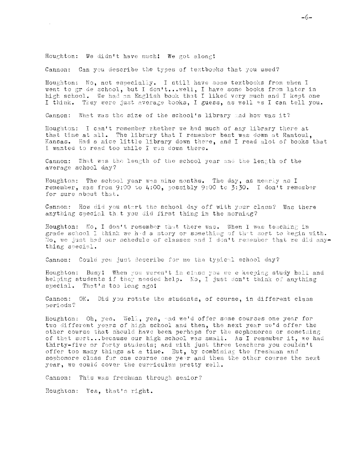#### Houghton: We didn't have much! We got along!

Cannon: Can you describe the types of textbooks that you used?

Houghton: No, not especially. I still have some textbooks from when I went to grade school, but I don't... well, I have some books from later in high school. We had an English book that I liked very much and I kept one I think. They were just average books, I guess, as well as I can tell you.

Cannon: What was the size of the school's library and how was it?

Houghton: I can't remember whether we had much of any library there at that time at all. The library that I remember best was down at Rantoul. Kansas. Had a nice little library down there, and I read alot of books that I wanted to read too while I was down there.

Cannon: What was the length of the school year and the length of the average school day?

Houghton: The school year was nine months. The day, as nearly as I remember, was from 9:00 to 4:00, possibly 9:00 to  $3:30$ . I don't remember for sure about that.

Cannon: How did you start the school day off with your class? Was there anything special that you did first thing in the morning?

Houghton: No, I don't remember that there was. When I was teaching in grade school I think we had a story or something of that sort to begin with. No, we just had our schedule of classes and I don't remember that we did anything special.

Cannon: Could you just describe for me the typical school day?

Houghton: Busy! When you weren't in class you we e keeping study hall and helping students if they needed help. No. I just don't think of anything suecial. That's too long ago!

Cannon: OK. Did you rotate the students, of course, in different class periods?

Houghton: Oh, yes. Well, yes, and we'd offer some courses one year for two different years of high school and then, the next year we'd offer the other course that should have been perhaps for the sophomores or something of that sort...because our high school was small. As I remember it, we had thirty-five or forty students; and with just three teachers you couldn't offer too many things at a time. But, by combining the freshman and sophomore class for one course one year and then the other course the next year, we could cover the curriculum pretty well.

Cannon: This was freshman through senior?

Houghton: Yes, that's right.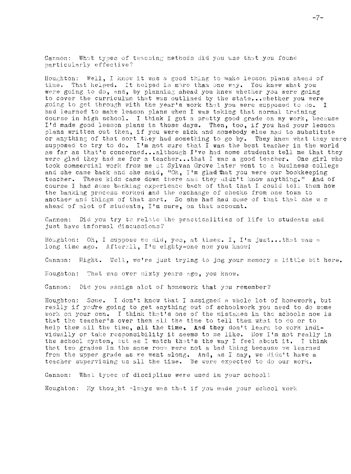Cannon: What types of teaching methods did you use that you found particularly effective?

Houghton: Well, I know it was a good thing to make lesson plans ahead of time. That helped. It helped in more than one way. You knew what you were going to do, and, by planning ahead you knew whether you were going to cover the curriculum that was outlined by the state... whether you were going to get through with the year's work that you were supposed to do. I had learned to make lesson plans when I was taking that normal training course in high school. I think I got a pretty good grade on my work, because I'd made good lesson plans in those days. Then, too, if you had your lesson plans written out then, if you were sick and somebody else had to substitute or anything of that sort they had something to go by. They knew what they were supposed to try to do. I'm not sure that I was the best teacher in the world as far as that's concerned...although I've had some students tell me that they were glad they had me for a teacher...that I was a good teacher. One girl who took commercial work from me at Sylvan Grove later went to a business college and she came back and she said, "Oh, I'm glad that you were our bookkeeping teacher. These kids came down there and they uidn't know anything." And of course I had some banking experience back of that that I could tell them how the banking process worked and the exchange of checks from one town to another and things of that sort. So she had had some of that that she w s ahead of alot of students, I'm sure, on that account.

Cannon: Did you try to relate the practicalities of life to students and just have informal discussions?

Houghton: Oh, I suppose we did, yes, at times. I, I'm just...that was a long time ago. Afterall, I'm eighty-one now you know!

Cannon: Right. Well, we're just trying to jog your memory a little bit here.

Houghton: That was over sixty years ago, you know.

Cannon: Did you assign alot of homework that you remember?

Houghton: Some. I don't know that I assigned a whole lot of homework, but really if you're going to get anything out of schoolwork you need to do some work on your own. I think that's one of the mistakes in the schools now is that the teacher's over them all the time to tell them what to do or to help them all the time, all the time. And they don't learn to work individually or take responsibility it seems to me like. Now I'm not really in the school system, but as I watch that's the way I feel about it. I think that two grades in the same room were not a bad thing because we learned from the upper grade as we went along. And, as I say, we didn't have a teacher supervising us all the time. We were expected to do our work.

What types of discipline were used in your school? Cannon:

Houghton: My thought always was that if you made your school work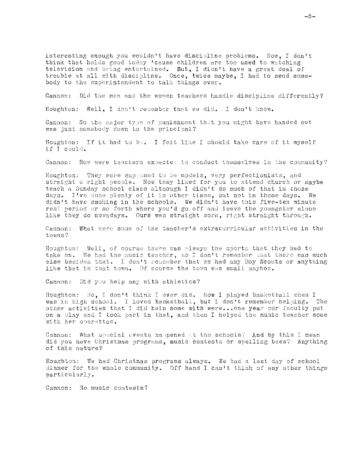interesting enough you wouldn't have discipline problems. Now, I don't think that holds good today 'cause children are too used to watching television and being entertained. But, I didn't have a great deal of trouble at all with discipline. Once, twice maybe, I had to send somebody to the superintendent to talk things over.

Cannon: Did the men and the women teachers handle discipline differently?

Houghton: Well, I don't remember that we did. I don't know.

Cannon: So the major type of punishment that you might have handed out was just somebody down to the principal?

Houghton: If it had to be. I felt like I should take care of it myself if I could.

Cannon: How were teachers expected to conduct themselves in the community?

Houghton: They were supposed to be models, very perfectionists, and straight ubright people. Now they liked for you to attend church or maybe teach a Sunday school class although I didn't do much of that in those days. I've done plenty of it in other times, but not in those days. We didn't have smoking in the schools. We didn't have this five-ten minute rest period or so forth where you'd go off and leave the youngster alone like they do nowadays. Ours was straight work, right straight through.

Cannon: What were some of the teacher's extracurricular activities in the towns?

Houghton: Well, of course there was plways the sports that they had to take on. We had the music teacher, so I don't remember that there was much else besides that. I don't remember that we had any Boy Scouts or anything like that in that town. Of course the town was small anyhow.

Cannon: Did you help any with athletics?

Houghton: No, I don't think I ever did. Now I played basketball when I was in high school. I loved basketball, but I don't remember helping. The other activities that I did help some with were...one year our faculty put on a play and I took part in that, and then I helped the music teacher some with her operattas.

Cannon: What special events happened at the schools? And by this I mean did you have Christmas programs, music contests or spelling bees? Anything of this nature?

Houghton: We had Christmas programs always. We had a last day of school dinner for the whole community. Off hand I can't think of any other things particularly.

Cannon: No music contests?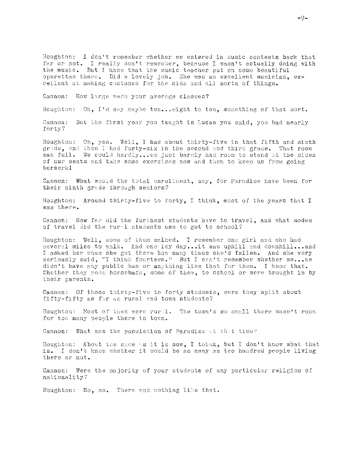Houghton: I don't remember whether we entered in music contests back that far or not. I really don't remember, because I wasn't actually doing with the music. But I know that the music teacher put on some beautiful operettas there. Did a lovely job. She was an excellent musician, excellent at making costumes for the kids and all sorts of things.

Cannon: How large were your average classes?

Houghton: Oh, I'd say maybe ten...eight to ten, something of that sort.

Cannon: But the first year you taught in Lucas you said, you had nearly forty?

Houghton: Oh, yes. Well, I had about thirty-five in that fifth and sixth grade, and then I had forty-six in the second and third grade. That room was full. We could hardly...we just barely had room to stand at the sides of our seats and take some exercises now and then to keep us from going berserk!

Cannon: What would the total enrollment, say, for Paradise have been for their ninth grade through seniors?

Houghton: Around thirty-five to forty, I think, most of the years that I was there.

Cannon: How far did the furthest students have to travel, and what modes of travel did the rural students use to get to school?

Houghton: Well, some of them walked. I remember one girl and she had several miles to walk. And one icy day...it was uphill and downhill...and I asked her when she got there how many times she'd fallen. And she very seriously said, "I think fourteen." But I can't remember whether we... we didn't have any public bus or anything like that for them. I know that. Whether they rode horseback, some of them, to school or were brought in by their parents.

Cannon: Of those thirty-five to forty students, were they split about fifty-fifty as far as rural and town students?

Houghton: Most of them were rural. The town's so small there wasn't room for too many people there in town.

Cannon: What was the population of Paradise at that time?

Houghton: About the same as it is now, I think, but I don't know what that is. I don't know whether it would be as many as two hundred people living there or not.

Cannon: Were the majority of your students of any particular religion of nationality?

Houghton: No, no. There was nothing like that.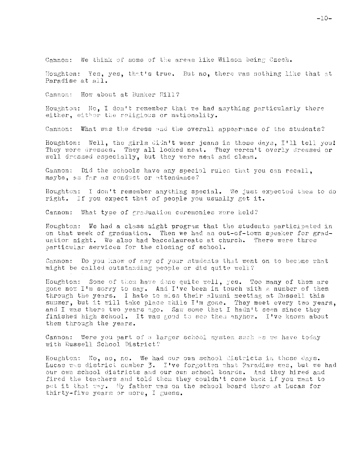Cannon: We think of some of the areas like Wilson being Czech.

Houghton: Yes, yes, that's true. But no, there was nothing like that at Paradise at all.

Cannon: How about at Bunker H11?

Houghton: No, I don't remember that we had anything particularly there either, either the religious or nationality.

Cannon: What was the dress and the overall appearance of the students?

Houghton: Well, the girls didn't wear jeans in those days, I'll tell you! They wore dresses. They all looked neat. They weren't overly dressed or well dressed especially, but they were neat and clean.

Cannon: Did the schools have any special rules that you can recall. maybe, as far as conduct or attendance?

Houghton: I don't remember anything special. We just expected them to do right. If you expect that of people you usually get it.

Cannon: What type of graduation ceremonies were held?

Houghton: We had a class night program that the students participated in on that week of graduation. Then we had an out-of-town speaker for graduation night. We also had baccelaureate at church. There were three particular services for the closing of school.

Cannon: Do you know of any of your students that went on to become what might be called outstanding people or did quite well?

Houghton: Some of them have done quite well, yes. Too many of them are gone now I'm sorry to say. And I've been in touch with a number of them through the years. I hate to miss their alumni meeting at Russell this summer, but it will take place while I'm gone. They meet every two years, and I was there two years ago. Saw some that I hadn't seen since they finished high school. It was good to see them anyhow. I've known about them through the years.

Cannon: Were you part of a larger school system such as we have today with Russell School District?

Houghton: No, no, no. We had our own school districts in those days. Lucas was district number 3. I've forgotten what Paradise was, but we had our own school districts and our own school boards. And they hired and fired the teachers and told them they couldn't come back if you want to put it that way. My father was on the school board there at Lucas for thirty-five years or more, I guess.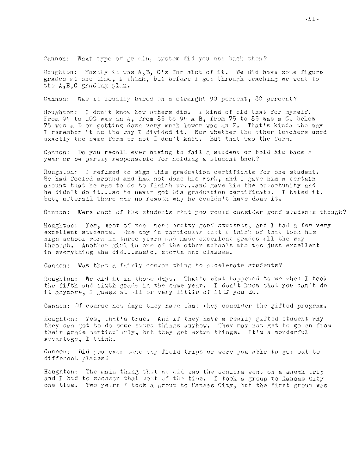Cannon: What type of gr ding system did you use back then?

Houghton: Mostly it was A.B. C's for alot of it. We did have some figure grades at one time, I think, but before I got through teaching we went to the A, B, C grading plan.

Cannon: Was it usually based on a straight 90 percent, 80 percent?

Houghton: I don't know how others did. I kind of did that for myself. From 94 to 100 was an  $a_2$ , from 85 to 94 a B, from 75 to 85 was a C, below 75 was a D or getting down very much lower was an F. That's kinda the way I remember it as the way I divided it. Now whether the other teachers used exactly the same form or not I don't know. But that was the form.

Cannon: Do you recall ever having to fail a student or hold him back a year or be partly responsible for holding a student back?

Houghton: I refused to sign this graduation certificate for one student. He had fooled around and had not done his work, and I gave him a certain amount that he was to do to finish up...and gave him the opportunity and he didn't do it...so he never got his graduation certificate. I hated it. but, afterall there was no reason why he couldn't have done it.

Cannon: Were most of the students what you would consider good students though?

Houghton: Yes, most of them were pretty good students, and I had a few very excellent students. One boy in particular that I think of that took his high school work in three years and made excellent grades all the way through. Another girl in one of the other schools who was just excellent in everything she did... music, sports and classes.

Cannon: Was that a fairly comson thing to ascelerate students?

Houghton: We did it in those days. That's what happened to me when I took the fifth and sixth grade in the same year. I don't know that you can't do it anymore. I guess at all or very little of it if you do.

Cannon: Of course now days they have what they consider the gifted program.

Houghton: Yes, that's true. And if they have a really gifted student why they can get to do some extra things anyhow. They may not get to go on from their grade particularly, but they get extra things. It's a wonderful advantage, I think.

Cannon: Did you ever take any field trips or were you able to get out to different places?

Houghton: The main thing that we did was the seniors went on a sneak trip and I had to sponsor that most of the time. I took a group to Kansas City one time. Two years I took a group to Kansas City, but the first group was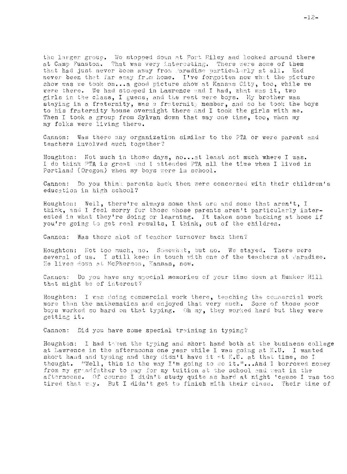the larger group. We stopped down at Fort Riley and looked around there at Camp Funston. That was very interesting. There were some of them that had just never been away from Paradise particularly at all. Had never been that far away from home. I've forgotten now what the picture show was we took on...a good picture show at Kansas City, too. while we were there. We had stopped in Lawrence and I had, what was it, two girls in the class, I guess, and the rest were boys. My brother was staying in a fraternity, was a fraternity member, and so he took the boys to his fraternity house overnight there and I took the girls with me. Then I took a group from Sylvan down that way one time, too, when my my folks were living there.

Cannon: Was there any organization similar to the PTA or were parent and teachers involved much together?

Houghton: Not much in those days, no...at least not much where I was. I do think PTA is great and I attended PTA all the time when I lived in Portland (Oregon) when my boys were in school.

Cannon: Do you think parents back then were concerned with their children's education in high school?

Houghton: Well, there're always some that are and some that aren't, I think, and I feel sorry for those whose parents aren't particularly interested in what they're doing or learning. It takes some backing at home if you're going to get real results, I think, out of the children.

Cannon: Was there alot of teacher turnover back then?

Houghton: Not too much, no. Somewhat, but no. We stayed. There were several of us. I still keep in touch with one of the teachers at Paradise. He lives down at McPherson, Kansas, now.

Cannon: Do you have any special memories of your time down at Bunker Hill that might be of interest?

Houghton: I was doing commercial work there, teaching the commercial work more than the mathematics and enjoyed that very much. Some of those poor boys worked so hard on that typing. Oh my, they worked hard but they were getting it.

Cannon: Did you have some special training in typing?

Houghton: I had taken the typing and short hand both at the business college at Lawrence in the afternoons one year while I was going at K.U. I wanted short hand and typing and they didn't have it at K.U. at that time, so I thought. "Well, this is the way I'm going to do it."...And I borrowed money from my grandfather to pay for my tuition at the school and went in the afternoons. Of course I didn't study quite as hard at night 'cause I was too tired that way. But I didn't get to finish with their class. Their time of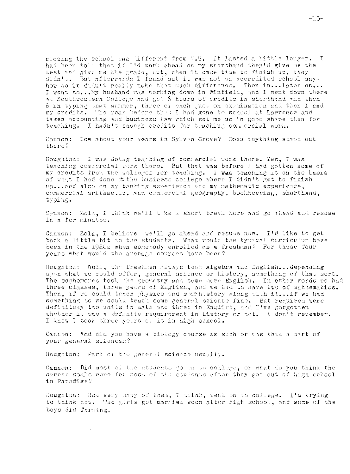closing the school was different from W.U. It lasted a little longer. I had been told that if I'd work shead on my shorthand they'd give me the test and give me the grade, aut, when it came time to finish up, they didn't. But afterwards I found out it was not an accredited school anyhow so it didn't really make that much difference. Then in...later on...<br>I went to...My husband was working down in Winfield, and I went down there at Southwestern College and got 6 hours of credits in shorthand and then 6 in typing that summer, three of each just on execuination and then I had my credits. The year before that I had gone to school at Lawrence and taken accounting and business law which set me up in good shape then for teaching. I hadn't enough credits for teaching commercial work.

Cannon: How about your years in Sylven Grove? Does anything stand out there?

Houghton: I was doing teaching of commercial work there. Yes, I was teaching commercial work there. But that was before I had gotten some of my credits from the colleges for teaching. I was teaching it on the basis of what I had done st the business college where I didn't get to finish up...and also on my banking experience and my mathematic experience. commercial arithmetic, and commercial geography, bookkeeping, shorthand, typing.

Cannon: Zola, I think we'll t ke a short break hore and go ahead and resume in a few minutes.

Cannon: Zola, I believe we'll go ahead and resume now. I'd like to get back a little bit to the students. What would the typical curriculum have been in the 1920s when somebody enrolled as a freshman? For those four years what would the average courses have been?

Houghton: Well, the freshmen always took algebra and English...depending upon what we could offer, general science or history, something of that sort. The sophomores took the geometry and some more English. In other words we had three classes, three years of English, and we had to have two of mathematics. Then, if we could teach physics and some history along with it...if we had something so we could teach some general science fine. But required were definitely two units in math and three in English, and I've gorgotten whether it was a definite requirement in history or not. I don't remember. I know I took three years of it in high school.

Cannon: And did you have a biology course as such or was that a part of your general sciences?

Houghton: Part of the general science usually.

Cannon: Did most of the students go on to college, or what do you think the career goals were for most of the students after they got out of high school in Paradise?

Houghton: Not very mony of them, I think, went on to college. I'm trying to think now. The girls got married soon after high school, and some of the boys did farming.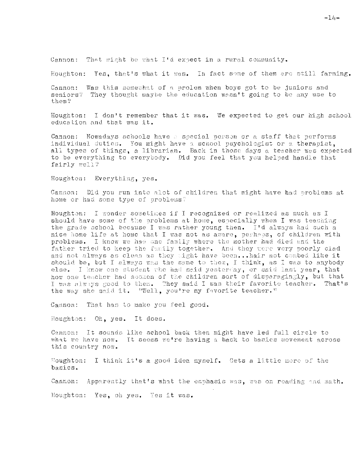Cannon: That might be what I'd expect in a rural community.

Houghton: Yes, that's what it was. In fact some of them are still farming.

Cannon: Was this somewhat of a prolem when boys got to be juniors and seniors? They thought maybe the education wasn't going to be any use to them?

Houghton: I don't remember that it was. We expected to get our high school education and that was it.

Cannon: Nowadays schools have a special person or a staff that performs individual duties. You might have a school psychologist or a therapist. all types of things, a librarian. Back in those days a teacher was expected to be everything to everybody. Did you feel that you helped handle that fairly well?

Houghton: Everything, yes.

Cannon: Did you run into alot of children that might have had problems at home or had some type of problems?

Houghton: I wonder sometimes if I recognized or realized as much as I should have some of the problems at home, especially when I was teaching the grade school because I was rather young then. I'd always had such a nice home life at home that I was not as aware, perhaps, of children with problems. I know we had one family where the mother had died and the father tried to keep the fumily together. And they were very poorly clad and not always as clean as they sight have been...hair not combed like it<br>should be, but I always was the same to them, I think, as I was to anybody else. I know one student who had said yesterday, or said last year, that how one teacher had scoken of the children sort of disparagingly, but that I was always good to them. They said I was their favorite teacher. That's the way she said it. "Well, you're my favorite teacher."

Cannon: That has to make you feel good.

Houghton: Oh, yes. It does.

Cannon: It sounds like school back then might have led full circle to what we have now. It seems we're having a back to basics movement across this country now.

Houghton: I think it's a good idea myself. Gets a little more of the basics.

Cannon: Apparently that's what the emphasis was, was on roading and math.

Moughton: Yes, oh yes. Yes it was.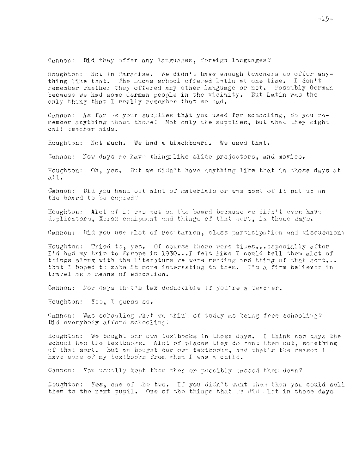Cannon: Did they offer any languages, foreign languages?

Houghton: Not in Paradise. We didn't have enough teachers to offer anything like that. The Lucas school offered Latin at one time. I don't remember whether they offered any other language or not. Possibly German because we had some Cerman people in the vicinity. But Latin was the only thing that I really remember that we had.

Cannon: As far as your subplies that you used for schooling, do you remember anything about those? Not only the supplies, but what they might call teacher aids.

Houghton: Not much. We had a blackboard. We used that.

Cannon: Now days we have thingslike slide projectors, and movies.

Houghton: Oh, yes. But we didn't have anything like that in those days at  $all.$ 

Cannon: Did you hand out alot of materials or was most of it put up on the board to be copied?

Houghton: Alot of it was out on the board because we didn't even have duplicators, Xerox equipment and things of that sort, in those days.

Cannon: Did you use alot of recitation, class participation and discussion?

Houghton: Tried to, yes. Of course there were times...especially after I'd had my trip to Europe in 1930...I felt like I could tell them alot of things along with the literature we were reading and thing of that sort... that I hoped to make it more interesting to them. I'm a firm believer in travel as a means of education.

Cannon: Now days that's tax deductible if you're a teacher.

Houghton: Yes, I guess so.

Cannon: Was schooling what we think of today as being free schooling? Did everybody afford schooling?

Houghton: We bought our own textbooks in those days. I think now days the school has the textbooks. Alot of places they do rent them out, something of that sort. But we bought our own textbooks, and that's the reason I have some of my textbocks from when I was a child.

Cannon: You usually kept them then or possibly passed them down?

Houghton: Yes, one of the two. If you didn't want them then you could sell them to the next pupil. One of the things that we did alot in those days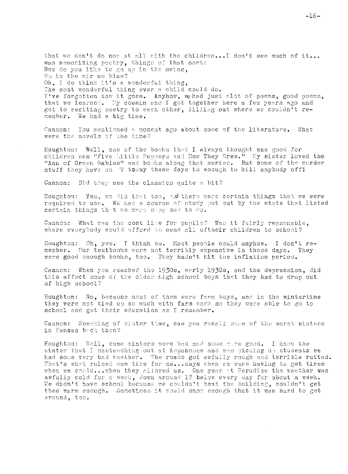that we don't do now at all with the children...I don't see much of it... was memorizing poetry, things of that sort: How do you like to go up in the swing, Up in the air so blue? Oh, I do think it's a wonderful thing, The most wonderful thing ever a child could do. I've forgotten how it goes. Anyhow, we had just alot of poems, good poems, that we learned. My cousin and I got together here a few years ago and got to reciting poetry to each other, filling out where we couldn't remember. We had a big time.

Cannon: You mentioned  $\phi$  moment ago about some of the literature. What were the novels of the time?

Houghton: Well, one of the books that I always thought was good for children was "Five Little Peppers and How They Grew." My sister loved the "Ann of Green Gables" and books along that series. But some of the murder stuff they have on 'V today these days is enough to kill anybody off!

Cannon: Did they use the classics quite a bit?

Houghton: Yes, we did that too, and there were certain things that we were required to use. We had a course of study put out by the state that listed certain things that we were suppleed to do.

What wes the cost like for pupils? Was it fairly reasonable, Cannon: where everybody could afford to send all oftheir children to school?

Houghton: Oh, yes. I think so. Most people could anyhow. I don't remember. Our textbooks were not terribly expensive in those days. They were good enough books, too. They hadn't hit the inflation period.

Cannon: When you reached the 1930s, early 1930s, and the depression, did this affect some of the older high school boys that they had to drop out of high school?

Houghton: No, because most of them were farm boys, and in the wintertime they were not tied up so much with farm work so they were able to go to school and get their education as I remember.

Cannon: Speaking of winter time, can you recall some of the worst winters in Kansas beck then?

Houghton: Well, some winters were bad and some wire good. I know the winter that I wasteaching out at Appanoose and was picking up students we had some very bad weather. The roads got awfully rough and terrible rutted. That's what ruined one tire for me...days when we were having to get tires when we could...when they allowed us. One year at Paradise the weather was awfully cold for a week, down around 17 below every day for about a week. We didn't have school because we couldn't heat the building, couldn't get them warm enough. Sometimes it would snow enough that it was hard to get around, too.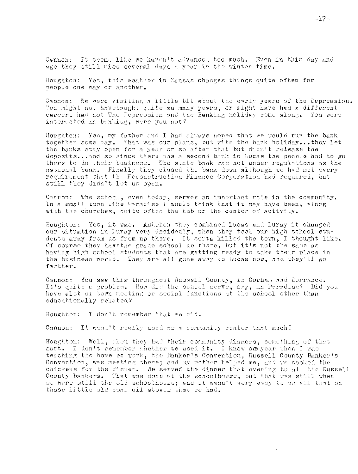Cannon: It seems like we haven't advanced too much. Even in this day and age they still miss several days a year in the winter time.

Houghton: Yes, this weather in Kansas changes things quite often for people one way or another.

Cannon: We were visiting a little bit about the early years of the Depression. You might not havetaught quite as many years, or might have had a different career, had not The Depression and the Banking Holiday come along. You were interested in banking, were you not?

Houghton: Yes, my father and I had always hoped that we would run the bank together some day. That was our plans, but with the bank holiday...they let the banks stay open for a year or so after that but didn't release the deposits...and so since there was a second bank in Lucas the people had to go there to do their business. The state bank was not under regulations as the national bank. Finally they closed the bank down although we had met every requirement that the Reconstruction Finance Corporation had required, but still they didn't let us open.

Cannon: The school, even today, serves an important role in the community. In a small town like Paradise I would think that it may have been, along with the churches, quite often the hub or the center of activity.

Houghton: Yes, it was. An when they combined Lucas and Luray it changed our situation in Luray very decidedly, when they took our high school students away from us from up there. It sorta killed the town, I thought like. Of course they have the grade school uo there, but it's not the same as having high school students that are getting ready to take their place in the business world. They are all gone away to Lucas now, and they'll go farther.

Cannon: You see this throughout Russell County, in Gorham and Dorrance. It's quite a problem. How did the school serve, say, in Peradisc: Did you have alot of town meeting or social functions at the school other than educationally related?

Houghton: I don't remember that we did.

Cannon: It was, 't really used as a community center that much?

Houghton: Well, when they had their community dinners, something of that sort. I don't remember whether we used it. I know one year when I was teaching the home ec work, the Banker's Convention, Russell County Banker's Convention, was meeting there; and my mother helped me, and we cooked the chickens for the dinner. We served the dinner that evening to all the Russell County bankers. That was done st the schoolhouse, but that was still when we were still the old schoolhouse; and it wasn't very easy to do all that on those little old coal oil stoves that we had.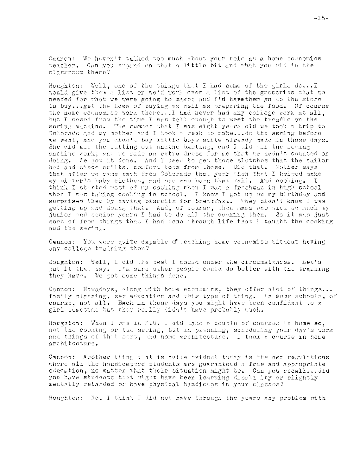Cannon: We haven't talked too much about your role as a home economics teacher. Can you expand on that a little bit and what you did in the classroom there?

Houghton: Well, one of the things that I had some of the girls do... I would give them a list or we'd work over a list of the groceries that we needed for what we were going to make; and I'd have them go to the store to buy...get the idea of buying as well as preparing the food. Of course the home economics work there... I had never had any college work at all, but I seved from the time I was tall enough to meet the treadle on the sowing machine. The summer that I was eight years old we took a trip to Colorado and my mother and I took a week to make...do the sewing before we went, and you didn't buy little boys suits already made in those days. She did all the cutting out andthe basting, and I did all the seving machine work; and we made an extra dress for me that we hadn't counted on We got it done. And I used to get those slotches that the tailor doing. had and piece quilts, comfort tops from those. Did that. Mother says that after we came back from Colorado that year then that I helped make my sister's baby clothes, and she was born that fall. And cooking. I think I started most of my cooking then I was a freshman in high school when I was taking cooking in school. I know I got up on my birthday and surprised them by having biscuits for breakfast. They didn't know I was getting up and doing that. And, of course, when mama was sick so much my junior and senior years I had to do all the cooking then. So it was just sort of from things that I had done through life that I taught the cooking and the sewing.

Cannon: You were quite capable of teaching home economics without having any college training then?

Houghton: Well, I did the best I could under the circumstances. Let's put it that way. I'm sure other people could do better with the training they have. We got some things done.

Cannon: Nowadays, along with home economics, they offer alot of things... family planning, sex education and this type of thing. In some schools, of course, not all. Back in those days you might have been confidant to a girl sometime but they really didn't have probably much.

Houghton: When I was in F.U. I did take a couple of courses in home ec. not the cooking or the seming, but in planning, scheduling your day's work and things of that sort, and home architecture. I took a course in home architecture.

Cannon: Another thing that is quite evident today is the new regulations where all the handicapped students are guaranteed a free and appropriate education, no matter what their situation might be. Can you recall...did you have students that might have been learning disability or slightly mentally retarded or have physical handicaps in your classes?

Houghton: No, I think I did not have through the years any problem with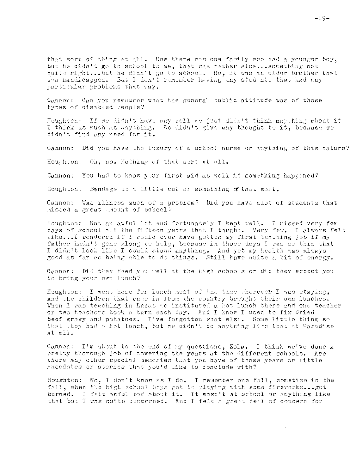that sort of thing at all. Now there was one family who had a younger boy, but he didn't go to school to me, that was rather slow...something not quite right...but he didn't go to school. Ho, it was an older brother that was handicapped. But I don't remember having any students that had any particular problems that way.

Cannon: Can you remomber what the general oublic attitude was of those types of disabled people?

Houghton: If we didn't have any well we just didn't think anything about it I think as much as anything. We didn't give any thought to it, because we didn't find any need for it.

Cannon: Did you have the luxury of a school nurse or anything of this nature?

Houghton: Oh, no. Nothing of that sert at all.

Cannon: You had to know your first aid as well if something happened?

Houghton: Bandage up a little cut or something of that sort.

Cannon: Was illness much of a problem? Did you have alot of students that missed a great amount of school?

Houghton: Not an awful lot and fortunately I kept well. I missed very few days of school all the fifteen years that I taught. Very few. I always felt like... I wondered if I would ever have gotten my first teaching job if my father hadn't gone along to help, because in those days I was so thin that I didn't look like I could stand anything. And yet my health was always good as far as being able to do things. Still have quite a bit of energy.

Cannon: Did they feed you well at the high schools or did they expect you to bring your own lunch?

Houghton: I went home for lunch most of the time wherever I was staying, and the children that came in from the country brought their own lunches. When I was teaching in Lucas we instituted a hot lunch there and one teacher or two teachers took a turn each day. And I know I used to fix dried beef gravy and potatoes. I've forgotten what else. Some little thing so that they had a hot lunch, but we didn't do anything like that at Paradise at all.

Cannon: I'm about to the end of my questions, Zola. I think we've done a pretty thorough job of covering the years at the different schools. Are there any other special memories that you have of those years or little anecdotes or stories that you'd like to conclude with?

Houghton: No, I don't know as I do. I remember one fall, sometime in the fall, when the high school boys got to playing with some fireworks... got burned. I felt awful bad about it. It wasn't at school or anything like that but I was quite concerned. And I felt a great deal of concern for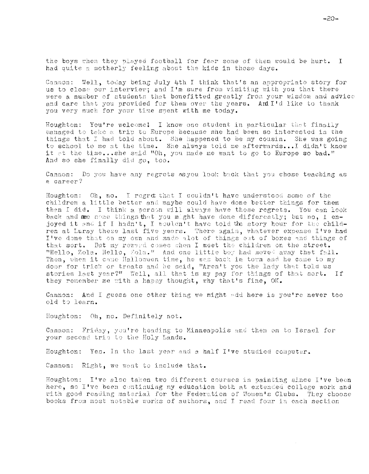the boys when they played football for fear some of them would be hurt. I had quite a motherly feeling about the kids in those days.

Cannon: Well, today being July 4th I think that's an appropriate story for us to close our interview; and I'm sure from visiting with you that there were a number of students that benefitted greatly from your wisdom and advice and care that you provided for them over the years. And I'd like to thank you very much for your time spent with me today.

Houghton: You're welcome! I know one student in particular that finally managed to take a trip to Europe because she had been so interested in the things that I had told about. She happened to be my cousin. She was going to school to me at the time. She always told me afterwards... I didn't know it at the time...she said "Oh, you made me want to go to Europe so bad." And so she finally did go, too.

Cannon: Do you have any regrets asyou look back that you chose teaching as a career?

Houghton: Oh, no. I regret that I couldn't have understood some of the children a little better and maybe could have done better things for them than I did. I think a person will always have those regrets. You can look back and see some things that you might have done differently; but no, I enjoyed it and if I hadn't, I wouldn't have told the story hour for the children at Luray these last five years. There again, whatever expense I've had I've done that on my own and made alot of things out of boxes and things of that sort. But my reward comes when I meet the children on the street. "Hello, Zola. Hello, Zola." And one little boy had moved away that fall. Then, when it came Halloween time, he was back in town and he came to my door for trick or treats and he said, "Aren't you the lady that told us stories last year?" Well, all that is my pay for things of that sort. If they remember me with a happy thought, why that's fine, OK.

Cannon: And I guess one other thing we might add here is you're never too old to learn.

Houghton: Oh, no. Definitely not.

Cannon: Friday, you're heading to Minneapolis and then on to Israel for your second trip to the Holy Lands.

Houghton: Yes. In the last year and a half I've studied computer.

Cannon: Right, we want to include that.

Houghton: I've also taken two different courses in painting since I've been here, so I've been continuing my education both at extended college work and with good reading material for the Federation of Women's Clubs. They choose books from most notable works of authors, and I read four in each section